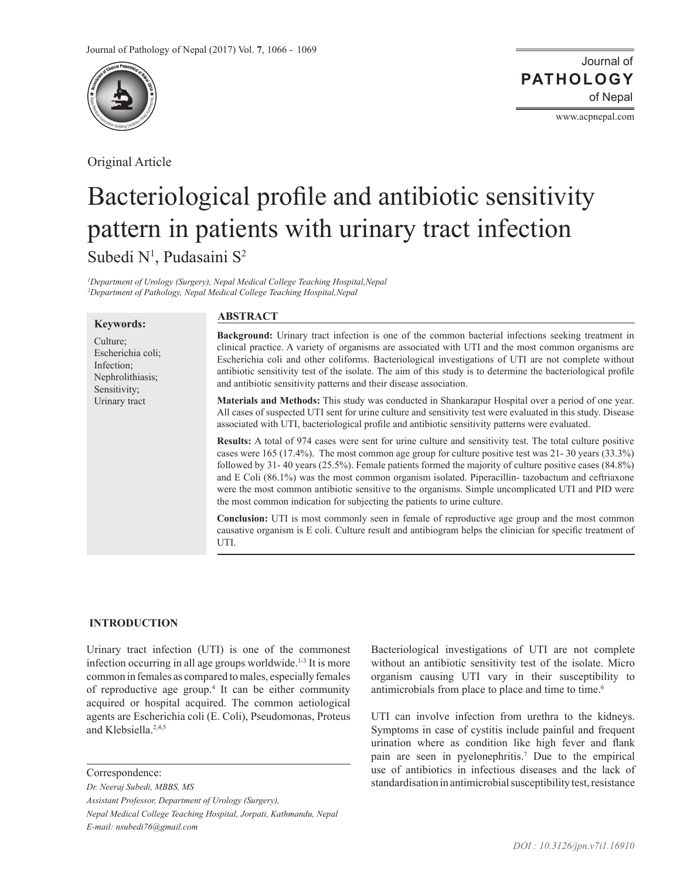

Original Article

www.acpnepal.com

# Bacteriological profile and antibiotic sensitivity pattern in patients with urinary tract infection Subedi N<sup>1</sup>, Pudasaini S<sup>2</sup>

*1 Department of Urology (Surgery), Nepal Medical College Teaching Hospital,Nepal 2 Department of Pathology, Nepal Medical College Teaching Hospital,Nepal*

#### **Keywords:**

Culture; Escherichia coli; Infection; Nephrolithiasis; Sensitivity; Urinary tract

## **ABSTRACT**

**Background:** Urinary tract infection is one of the common bacterial infections seeking treatment in clinical practice. A variety of organisms are associated with UTI and the most common organisms are Escherichia coli and other coliforms. Bacteriological investigations of UTI are not complete without antibiotic sensitivity test of the isolate. The aim of this study is to determine the bacteriological profile and antibiotic sensitivity patterns and their disease association.

**Materials and Methods:** This study was conducted in Shankarapur Hospital over a period of one year. All cases of suspected UTI sent for urine culture and sensitivity test were evaluated in this study. Disease associated with UTI, bacteriological profile and antibiotic sensitivity patterns were evaluated.

**Results:** A total of 974 cases were sent for urine culture and sensitivity test. The total culture positive cases were 165 (17.4%). The most common age group for culture positive test was 21- 30 years (33.3%) followed by 31- 40 years (25.5%). Female patients formed the majority of culture positive cases (84.8%) and E Coli (86.1%) was the most common organism isolated. Piperacillin- tazobactum and ceftriaxone were the most common antibiotic sensitive to the organisms. Simple uncomplicated UTI and PID were the most common indication for subjecting the patients to urine culture.

**Conclusion:** UTI is most commonly seen in female of reproductive age group and the most common causative organism is E coli. Culture result and antibiogram helps the clinician for specific treatment of UTI.

# **INTRODUCTION**

Urinary tract infection (UTI) is one of the commonest infection occurring in all age groups worldwide.<sup>1-3</sup> It is more common in females as compared to males, especially females of reproductive age group.<sup>4</sup> It can be either community acquired or hospital acquired. The common aetiological agents are Escherichia coli (E. Coli), Pseudomonas, Proteus and Klebsiella.2,4,5

Correspondence:

*Dr. Neeraj Subedi, MBBS, MS Assistant Professor, Department of Urology (Surgery), Nepal Medical College Teaching Hospital, Jorpati, Kathmandu, Nepal E-mail: nsubedi76@gmail.com*

Bacteriological investigations of UTI are not complete without an antibiotic sensitivity test of the isolate. Micro organism causing UTI vary in their susceptibility to antimicrobials from place to place and time to time.<sup>6</sup>

UTI can involve infection from urethra to the kidneys. Symptoms in case of cystitis include painful and frequent urination where as condition like high fever and flank pain are seen in pyelonephritis.<sup>7</sup> Due to the empirical use of antibiotics in infectious diseases and the lack of standardisation in antimicrobial susceptibility test, resistance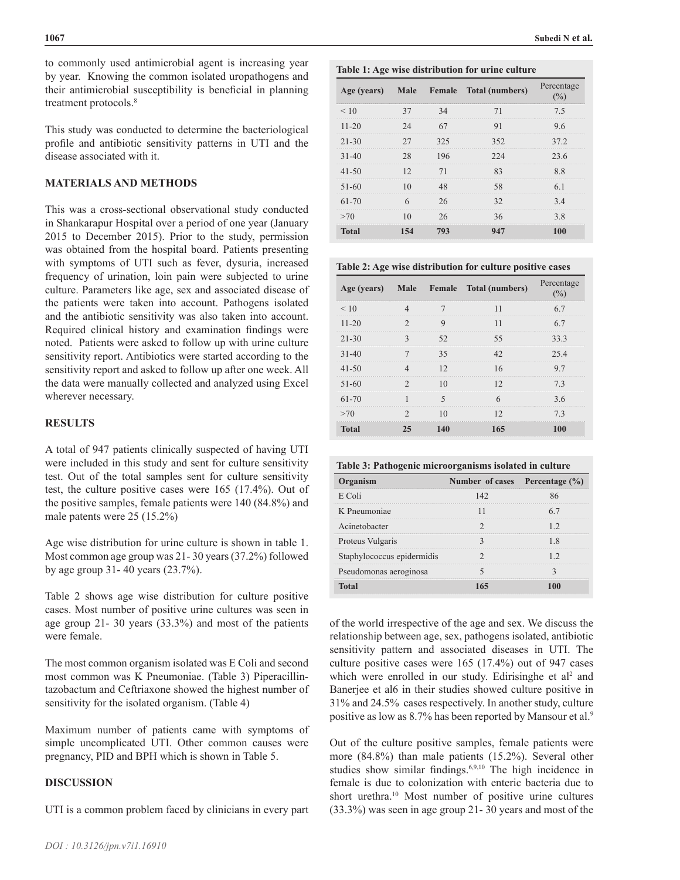to commonly used antimicrobial agent is increasing year by year. Knowing the common isolated uropathogens and their antimicrobial susceptibility is beneficial in planning treatment protocols.<sup>8</sup>

This study was conducted to determine the bacteriological profile and antibiotic sensitivity patterns in UTI and the disease associated with it.

# **MATERIALS AND METHODS**

This was a cross-sectional observational study conducted in Shankarapur Hospital over a period of one year (January 2015 to December 2015). Prior to the study, permission was obtained from the hospital board. Patients presenting with symptoms of UTI such as fever, dysuria, increased frequency of urination, loin pain were subjected to urine culture. Parameters like age, sex and associated disease of the patients were taken into account. Pathogens isolated and the antibiotic sensitivity was also taken into account. Required clinical history and examination findings were noted. Patients were asked to follow up with urine culture sensitivity report. Antibiotics were started according to the sensitivity report and asked to follow up after one week. All the data were manually collected and analyzed using Excel wherever necessary.

### **RESULTS**

A total of 947 patients clinically suspected of having UTI were included in this study and sent for culture sensitivity test. Out of the total samples sent for culture sensitivity test, the culture positive cases were 165 (17.4%). Out of the positive samples, female patients were 140 (84.8%) and male patents were 25 (15.2%)

Age wise distribution for urine culture is shown in table 1. Most common age group was 21- 30 years (37.2%) followed by age group 31- 40 years (23.7%).

Table 2 shows age wise distribution for culture positive cases. Most number of positive urine cultures was seen in age group 21- 30 years (33.3%) and most of the patients were female.

The most common organism isolated was E Coli and second most common was K Pneumoniae. (Table 3) Piperacillintazobactum and Ceftriaxone showed the highest number of sensitivity for the isolated organism. (Table 4)

Maximum number of patients came with symptoms of simple uncomplicated UTI. Other common causes were pregnancy, PID and BPH which is shown in Table 5.

### **DISCUSSION**

UTI is a common problem faced by clinicians in every part

#### **Table 1: Age wise distribution for urine culture**

| Age (years) |     | Male Female Total (numbers) | Percentage |
|-------------|-----|-----------------------------|------------|
| < 10        |     |                             | 75         |
| $11 - 20$   |     |                             |            |
| $21 - 30$   | 325 | 352                         | 372        |
| $31 - 40$   |     |                             | 23 6       |
| $41 - 50$   |     |                             | 88         |
| 51-60       |     |                             |            |
| $61 - 70$   |     |                             | 34         |
| >70         |     |                             | 38         |
| Total       |     |                             |            |

**Table 2: Age wise distribution for culture positive cases**

| Age (years)  |  | Male Female Total (numbers) | Percentage |
|--------------|--|-----------------------------|------------|
| $\leq 10$    |  |                             | 67         |
| $11 - 20$    |  |                             |            |
| $21 - 30$    |  |                             | 33 3<br>   |
| $31-40$      |  |                             | 25.4       |
| $41 - 50$    |  |                             |            |
| $51-60$      |  |                             |            |
| $61 - 70$    |  |                             | 36         |
| >70          |  |                             |            |
| <b>Total</b> |  | 165                         |            |

| Table 3: Pathogenic microorganisms isolated in culture |  |  |  |
|--------------------------------------------------------|--|--|--|
|                                                        |  |  |  |

| Organism                   | Number of cases Percentage (%) |  |
|----------------------------|--------------------------------|--|
| E Coli                     | 142                            |  |
| K Pneumoniae               |                                |  |
| Acinetobacter              |                                |  |
| Proteus Vulgaris           |                                |  |
| Staphylococcus epidermidis |                                |  |
| Pseudomonas aeroginosa     |                                |  |
| Total                      |                                |  |

of the world irrespective of the age and sex. We discuss the relationship between age, sex, pathogens isolated, antibiotic sensitivity pattern and associated diseases in UTI. The culture positive cases were 165 (17.4%) out of 947 cases which were enrolled in our study. Edirisinghe et  $al<sup>2</sup>$  and Banerjee et al6 in their studies showed culture positive in 31% and 24.5% cases respectively. In another study, culture positive as low as 8.7% has been reported by Mansour et al.<sup>9</sup>

Out of the culture positive samples, female patients were more (84.8%) than male patients (15.2%). Several other studies show similar findings.6,9,10 The high incidence in female is due to colonization with enteric bacteria due to short urethra.<sup>10</sup> Most number of positive urine cultures (33.3%) was seen in age group 21- 30 years and most of the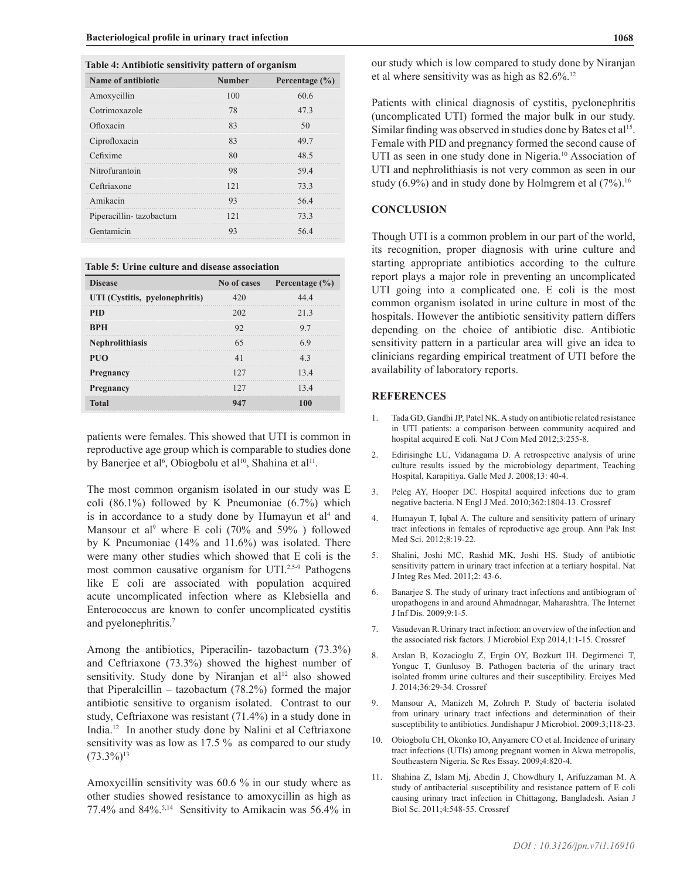#### **Table 4: Antibiotic sensitivity pattern of organism**

| Name of antibiotic      | <b>Number</b> | Percentage $(\% )$ |
|-------------------------|---------------|--------------------|
| Amoxycillin             | 100           | 60.6               |
| Cotrimoxazole           |               | 473                |
| Ofloxacin               |               |                    |
| Ciprofloxacin           |               |                    |
| Cefixime                |               |                    |
| Nitrofurantoin          |               | 594                |
| Ceftriaxone             |               | 73 3               |
| Amikacin                |               | 56.4               |
| Piperacillin-tazobactum |               | 73 3               |
| Gentamicin              |               |                    |

**Table 5: Urine culture and disease association**

| <b>Disease</b>                 | No of cases Percentage (%) |
|--------------------------------|----------------------------|
| UTI (Cystitis, pyelonephritis) |                            |
|                                | 213                        |
| <b>BPH</b>                     |                            |
| <b>Nephrolithiasis</b>         |                            |
| PUO                            |                            |
| <b>Pregnancy</b>               | 134                        |
| <b>Pregnancy</b>               |                            |
|                                |                            |

patients were females. This showed that UTI is common in reproductive age group which is comparable to studies done by Banerjee et al<sup>6</sup>, Obiogbolu et al<sup>10</sup>, Shahina et al<sup>11</sup>.

The most common organism isolated in our study was E coli (86.1%) followed by K Pneumoniae (6.7%) which is in accordance to a study done by Humayun et  $al<sup>4</sup>$  and Mansour et al<sup>9</sup> where E coli (70% and 59%) followed by K Pneumoniae (14% and 11.6%) was isolated. There were many other studies which showed that E coli is the most common causative organism for UTI.<sup>2,5-9</sup> Pathogens like E coli are associated with population acquired acute uncomplicated infection where as Klebsiella and Enterococcus are known to confer uncomplicated cystitis and pyelonephritis.<sup>7</sup>

Among the antibiotics, Piperacilin- tazobactum (73.3%) and Ceftriaxone (73.3%) showed the highest number of sensitivity. Study done by Niranjan et al<sup>12</sup> also showed that Piperalcillin – tazobactum (78.2%) formed the major antibiotic sensitive to organism isolated. Contrast to our study, Ceftriaxone was resistant (71.4%) in a study done in India.<sup>12</sup> In another study done by Nalini et al Ceftriaxone sensitivity was as low as 17.5 % as compared to our study  $(73.3\%)^{13}$ 

Amoxycillin sensitivity was 60.6 % in our study where as other studies showed resistance to amoxycillin as high as 77.4% and 84%.5,14 Sensitivity to Amikacin was 56.4% in

our study which is low compared to study done by Niranjan et al where sensitivity was as high as  $82.6\%$ .<sup>12</sup>

Patients with clinical diagnosis of cystitis, pyelonephritis (uncomplicated UTI) formed the major bulk in our study. Similar finding was observed in studies done by Bates et al<sup>15</sup>. Female with PID and pregnancy formed the second cause of UTI as seen in one study done in Nigeria.<sup>10</sup> Association of UTI and nephrolithiasis is not very common as seen in our study (6.9%) and in study done by Holmgrem et al  $(7\%)$ .<sup>16</sup>

#### **CONCLUSION**

Though UTI is a common problem in our part of the world, its recognition, proper diagnosis with urine culture and starting appropriate antibiotics according to the culture report plays a major role in preventing an uncomplicated UTI going into a complicated one. E coli is the most common organism isolated in urine culture in most of the hospitals. However the antibiotic sensitivity pattern differs depending on the choice of antibiotic disc. Antibiotic sensitivity pattern in a particular area will give an idea to clinicians regarding empirical treatment of UTI before the availability of laboratory reports.

## **REFERENCES**

- 1. Tada GD, Gandhi JP, Patel NK. A study on antibiotic related resistance in UTI patients: a comparison between community acquired and hospital acquired E coli. Nat J Com Med 2012;3:255-8.
- 2. Edirisinghe LU, Vidanagama D. A retrospective analysis of urine culture results issued by the microbiology department, Teaching Hospital, Karapitiya. Galle Med J. 2008;13: 40-4.
- 3. Peleg AY, Hooper DC. Hospital acquired infections due to gram negative bacteria. N Engl J Med. 2010;362:1804-13. [Crossref](https://doi.org/10.1056/NEJMra0904124)
- 4. Humayun T, Iqbal A. The culture and sensitivity pattern of urinary tract infections in females of reproductive age group. Ann Pak Inst Med Sci. 2012;8:19-22.
- 5. Shalini, Joshi MC, Rashid MK, Joshi HS. Study of antibiotic sensitivity pattern in urinary tract infection at a tertiary hospital. Nat J Integ Res Med. 2011;2: 43-6.
- 6. Banarjee S. The study of urinary tract infections and antibiogram of uropathogens in and around Ahmadnagar, Maharashtra. The Internet J Inf Dis. 2009;9:1-5.
- 7. Vasudevan R.Urinary tract infection: an overview of the infection and the associated risk factors. J Microbiol Exp 2014,1:1-15. [Crossref](https://doi.org/10.15406/jmen.2014.01.00008)
- 8. Arslan B, Kozacioglu Z, Ergin OY, Bozkurt IH. Degirmenci T, Yonguc T, Gunlusoy B. Pathogen bacteria of the urinary tract isolated fromm urine cultures and their susceptibility. Erciyes Med J. 2014;36:29-34. [Crossref](https://doi.org/10.5152/etd.2014.7741)
- 9. Mansour A, Manizeh M, Zohreh P. Study of bacteria isolated from urinary urinary tract infections and determination of their susceptibility to antibiotics. Jundishapur J Microbiol. 2009:3;118-23.
- 10. Obiogbolu CH, Okonko IO, Anyamere CO et al. Incidence of urinary tract infections (UTIs) among pregnant women in Akwa metropolis, Southeastern Nigeria. Sc Res Essay. 2009;4:820-4.
- 11. Shahina Z, Islam Mj, Abedin J, Chowdhury I, Arifuzzaman M. A study of antibacterial susceptibility and resistance pattern of E coli causing urinary tract infection in Chittagong, Bangladesh. Asian J Biol Sc. 2011;4:548-55. [Crossref](https://doi.org/10.3923/ajbs.2011.548.555)